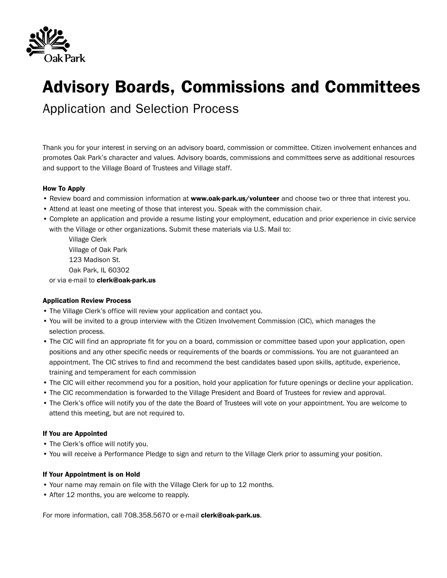

# **Advisory Boards, Commissions and Committees**

Application and Selection Process

Thank you for your interest in serving on an advisory board, commission or committee. Citizen involvement enhances and promotes Oak Park's character and values. Advisory boards, commissions and committees serve as additional resources and support to the Village Board of Trustees and Village staff.

### **How To Apply**

- Review board and commission information at **www.oak-park.us/volunteer** and choose two or three that interest you.
- Attend at least one meeting of those that interest you. Speak with the commission chair.
- Complete an application and provide a resume listing your employment, education and prior experience in civic service with the Village or other organizations. Submit these materials via U.S. Mail to:

Village Clerk Village of Oak Park 123 Madison St. Oak Park, IL 60302

or via e-mail to **clerk@oak-park.us**

#### **Application Review Process**

- The Village Clerk's office will review your application and contact you.
- You will be invited to a group interview with the Citizen Involvement Commission (CIC), which manages the selection process.
- The CIC will find an appropriate fit for you on a board, commission or committee based upon your application, open positions and any other specific needs or requirements of the boards or commissions. You are not guaranteed an appointment. The CIC strives to find and recommend the best candidates based upon skills, aptitude, experience, training and temperament for each commission
- The CIC will either recommend you for a position, hold your application for future openings or decline your application.
- The CIC recommendation is forwarded to the Village President and Board of Trustees for review and approval.
- The Clerk's office will notify you of the date the Board of Trustees will vote on your appointment. You are welcome to attend this meeting, but are not required to.

## **If You are Appointed**

- The Clerk's office will notify you.
- You will receive a Performance Pledge to sign and return to the Village Clerk prior to assuming your position.

#### **If Your Appointment is on Hold**

- Your name may remain on file with the Village Clerk for up to 12 months.
- After 12 months, you are welcome to reapply.

For more information, call 708.358.5670 or e-mail **clerk@oak-park.us**.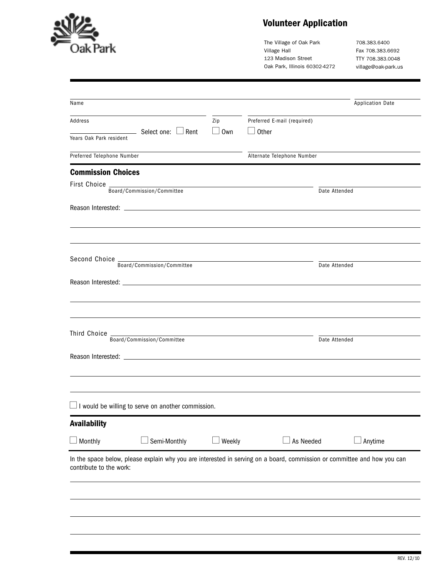

# **Volunteer Application**

The Village of Oak Park Village Hall 123 Madison Street Oak Park, Illinois 60302-4272

708.383.6400 Fax 708.383.6692 TTY 708.383.0048 village@oak-park.us

| Name                       |                                                           |                       |                                                                                                                          | <b>Application Date</b> |  |  |  |
|----------------------------|-----------------------------------------------------------|-----------------------|--------------------------------------------------------------------------------------------------------------------------|-------------------------|--|--|--|
| Address                    |                                                           | Zip                   | Preferred E-mail (required)<br>$\Box$ Other                                                                              |                         |  |  |  |
|                            | $\rule{1em}{0.15mm}$ Select one: $\Box$ Rent              | Own<br>$\mathbb{R}^n$ |                                                                                                                          |                         |  |  |  |
| Years Oak Park resident    |                                                           |                       |                                                                                                                          |                         |  |  |  |
| Preferred Telephone Number |                                                           |                       | Alternate Telephone Number                                                                                               |                         |  |  |  |
| <b>Commission Choices</b>  |                                                           |                       |                                                                                                                          |                         |  |  |  |
| First Choice _             | Board/Commission/Committee                                |                       |                                                                                                                          | Date Attended           |  |  |  |
|                            |                                                           |                       |                                                                                                                          |                         |  |  |  |
|                            |                                                           |                       |                                                                                                                          |                         |  |  |  |
|                            |                                                           |                       |                                                                                                                          |                         |  |  |  |
|                            |                                                           |                       |                                                                                                                          |                         |  |  |  |
|                            |                                                           |                       |                                                                                                                          |                         |  |  |  |
|                            | Board/Commission/Committee                                |                       | Date Attended                                                                                                            |                         |  |  |  |
|                            |                                                           |                       |                                                                                                                          |                         |  |  |  |
|                            |                                                           |                       |                                                                                                                          |                         |  |  |  |
|                            |                                                           |                       |                                                                                                                          |                         |  |  |  |
|                            |                                                           |                       |                                                                                                                          |                         |  |  |  |
| Third Choice               | Board/Commission/Committee                                |                       |                                                                                                                          |                         |  |  |  |
|                            |                                                           |                       |                                                                                                                          | Date Attended           |  |  |  |
|                            |                                                           |                       |                                                                                                                          |                         |  |  |  |
|                            |                                                           |                       |                                                                                                                          |                         |  |  |  |
|                            |                                                           |                       |                                                                                                                          |                         |  |  |  |
|                            | $\Box$ I would be willing to serve on another commission. |                       |                                                                                                                          |                         |  |  |  |
|                            |                                                           |                       |                                                                                                                          |                         |  |  |  |
| <b>Availability</b>        |                                                           |                       |                                                                                                                          |                         |  |  |  |
| $\Box$ Monthly             | Semi-Monthly                                              | Weekly                | As Needed                                                                                                                | Anytime                 |  |  |  |
|                            |                                                           |                       | In the space below, please explain why you are interested in serving on a board, commission or committee and how you can |                         |  |  |  |
| contribute to the work:    |                                                           |                       |                                                                                                                          |                         |  |  |  |
|                            |                                                           |                       |                                                                                                                          |                         |  |  |  |
|                            |                                                           |                       |                                                                                                                          |                         |  |  |  |
|                            |                                                           |                       |                                                                                                                          |                         |  |  |  |
|                            |                                                           |                       |                                                                                                                          |                         |  |  |  |
|                            |                                                           |                       |                                                                                                                          |                         |  |  |  |